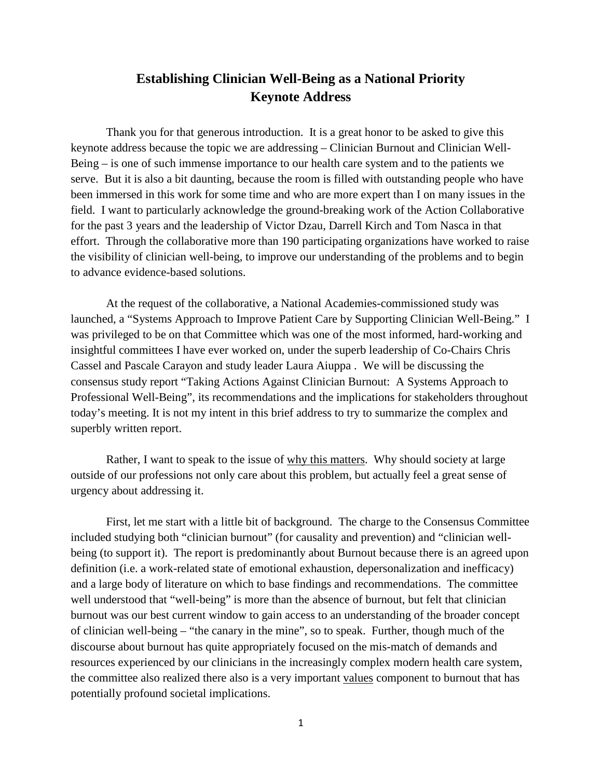## **Establishing Clinician Well-Being as a National Priority Keynote Address**

Thank you for that generous introduction. It is a great honor to be asked to give this keynote address because the topic we are addressing – Clinician Burnout and Clinician Well-Being – is one of such immense importance to our health care system and to the patients we serve. But it is also a bit daunting, because the room is filled with outstanding people who have been immersed in this work for some time and who are more expert than I on many issues in the field. I want to particularly acknowledge the ground-breaking work of the Action Collaborative for the past 3 years and the leadership of Victor Dzau, Darrell Kirch and Tom Nasca in that effort. Through the collaborative more than 190 participating organizations have worked to raise the visibility of clinician well-being, to improve our understanding of the problems and to begin to advance evidence-based solutions.

At the request of the collaborative, a National Academies-commissioned study was launched, a "Systems Approach to Improve Patient Care by Supporting Clinician Well-Being." I was privileged to be on that Committee which was one of the most informed, hard-working and insightful committees I have ever worked on, under the superb leadership of Co-Chairs Chris Cassel and Pascale Carayon and study leader Laura Aiuppa . We will be discussing the consensus study report "Taking Actions Against Clinician Burnout: A Systems Approach to Professional Well-Being", its recommendations and the implications for stakeholders throughout today's meeting. It is not my intent in this brief address to try to summarize the complex and superbly written report.

Rather, I want to speak to the issue of why this matters. Why should society at large outside of our professions not only care about this problem, but actually feel a great sense of urgency about addressing it.

First, let me start with a little bit of background. The charge to the Consensus Committee included studying both "clinician burnout" (for causality and prevention) and "clinician wellbeing (to support it). The report is predominantly about Burnout because there is an agreed upon definition (i.e. a work-related state of emotional exhaustion, depersonalization and inefficacy) and a large body of literature on which to base findings and recommendations. The committee well understood that "well-being" is more than the absence of burnout, but felt that clinician burnout was our best current window to gain access to an understanding of the broader concept of clinician well-being – "the canary in the mine", so to speak. Further, though much of the discourse about burnout has quite appropriately focused on the mis-match of demands and resources experienced by our clinicians in the increasingly complex modern health care system, the committee also realized there also is a very important values component to burnout that has potentially profound societal implications.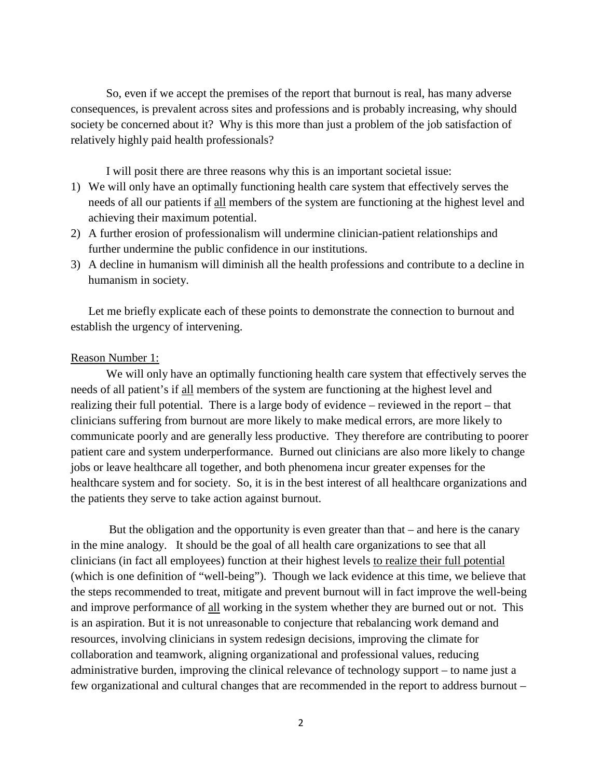So, even if we accept the premises of the report that burnout is real, has many adverse consequences, is prevalent across sites and professions and is probably increasing, why should society be concerned about it? Why is this more than just a problem of the job satisfaction of relatively highly paid health professionals?

I will posit there are three reasons why this is an important societal issue:

- 1) We will only have an optimally functioning health care system that effectively serves the needs of all our patients if all members of the system are functioning at the highest level and achieving their maximum potential.
- 2) A further erosion of professionalism will undermine clinician-patient relationships and further undermine the public confidence in our institutions.
- 3) A decline in humanism will diminish all the health professions and contribute to a decline in humanism in society.

Let me briefly explicate each of these points to demonstrate the connection to burnout and establish the urgency of intervening.

## Reason Number 1:

We will only have an optimally functioning health care system that effectively serves the needs of all patient's if all members of the system are functioning at the highest level and realizing their full potential. There is a large body of evidence – reviewed in the report – that clinicians suffering from burnout are more likely to make medical errors, are more likely to communicate poorly and are generally less productive. They therefore are contributing to poorer patient care and system underperformance. Burned out clinicians are also more likely to change jobs or leave healthcare all together, and both phenomena incur greater expenses for the healthcare system and for society. So, it is in the best interest of all healthcare organizations and the patients they serve to take action against burnout.

But the obligation and the opportunity is even greater than that – and here is the canary in the mine analogy. It should be the goal of all health care organizations to see that all clinicians (in fact all employees) function at their highest levels to realize their full potential (which is one definition of "well-being"). Though we lack evidence at this time, we believe that the steps recommended to treat, mitigate and prevent burnout will in fact improve the well-being and improve performance of all working in the system whether they are burned out or not. This is an aspiration. But it is not unreasonable to conjecture that rebalancing work demand and resources, involving clinicians in system redesign decisions, improving the climate for collaboration and teamwork, aligning organizational and professional values, reducing administrative burden, improving the clinical relevance of technology support – to name just a few organizational and cultural changes that are recommended in the report to address burnout –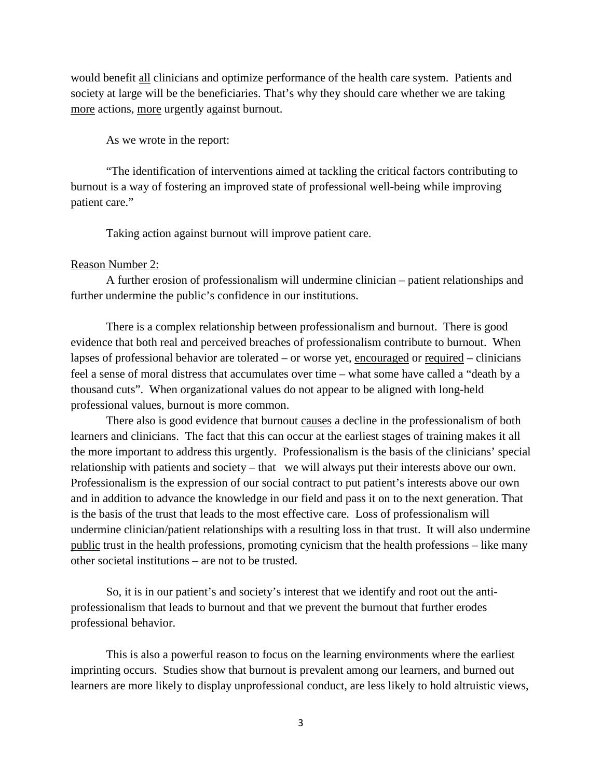would benefit all clinicians and optimize performance of the health care system. Patients and society at large will be the beneficiaries. That's why they should care whether we are taking more actions, more urgently against burnout.

As we wrote in the report:

"The identification of interventions aimed at tackling the critical factors contributing to burnout is a way of fostering an improved state of professional well-being while improving patient care."

Taking action against burnout will improve patient care.

## Reason Number 2:

A further erosion of professionalism will undermine clinician – patient relationships and further undermine the public's confidence in our institutions.

There is a complex relationship between professionalism and burnout. There is good evidence that both real and perceived breaches of professionalism contribute to burnout. When lapses of professional behavior are tolerated – or worse yet, encouraged or required – clinicians feel a sense of moral distress that accumulates over time – what some have called a "death by a thousand cuts". When organizational values do not appear to be aligned with long-held professional values, burnout is more common.

There also is good evidence that burnout causes a decline in the professionalism of both learners and clinicians. The fact that this can occur at the earliest stages of training makes it all the more important to address this urgently. Professionalism is the basis of the clinicians' special relationship with patients and society – that we will always put their interests above our own. Professionalism is the expression of our social contract to put patient's interests above our own and in addition to advance the knowledge in our field and pass it on to the next generation. That is the basis of the trust that leads to the most effective care. Loss of professionalism will undermine clinician/patient relationships with a resulting loss in that trust. It will also undermine public trust in the health professions, promoting cynicism that the health professions – like many other societal institutions – are not to be trusted.

So, it is in our patient's and society's interest that we identify and root out the antiprofessionalism that leads to burnout and that we prevent the burnout that further erodes professional behavior.

This is also a powerful reason to focus on the learning environments where the earliest imprinting occurs. Studies show that burnout is prevalent among our learners, and burned out learners are more likely to display unprofessional conduct, are less likely to hold altruistic views,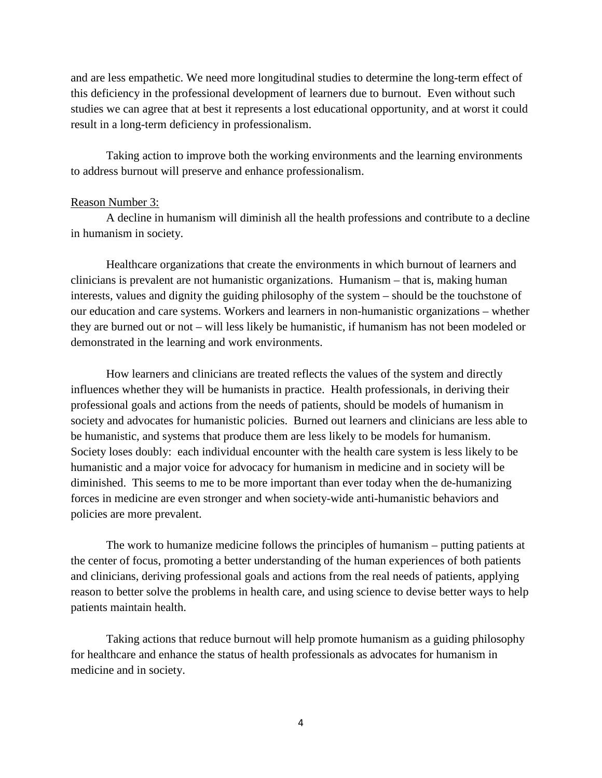and are less empathetic. We need more longitudinal studies to determine the long-term effect of this deficiency in the professional development of learners due to burnout. Even without such studies we can agree that at best it represents a lost educational opportunity, and at worst it could result in a long-term deficiency in professionalism.

Taking action to improve both the working environments and the learning environments to address burnout will preserve and enhance professionalism.

## Reason Number 3:

A decline in humanism will diminish all the health professions and contribute to a decline in humanism in society.

Healthcare organizations that create the environments in which burnout of learners and clinicians is prevalent are not humanistic organizations. Humanism – that is, making human interests, values and dignity the guiding philosophy of the system – should be the touchstone of our education and care systems. Workers and learners in non-humanistic organizations – whether they are burned out or not – will less likely be humanistic, if humanism has not been modeled or demonstrated in the learning and work environments.

How learners and clinicians are treated reflects the values of the system and directly influences whether they will be humanists in practice. Health professionals, in deriving their professional goals and actions from the needs of patients, should be models of humanism in society and advocates for humanistic policies. Burned out learners and clinicians are less able to be humanistic, and systems that produce them are less likely to be models for humanism. Society loses doubly: each individual encounter with the health care system is less likely to be humanistic and a major voice for advocacy for humanism in medicine and in society will be diminished. This seems to me to be more important than ever today when the de-humanizing forces in medicine are even stronger and when society-wide anti-humanistic behaviors and policies are more prevalent.

The work to humanize medicine follows the principles of humanism – putting patients at the center of focus, promoting a better understanding of the human experiences of both patients and clinicians, deriving professional goals and actions from the real needs of patients, applying reason to better solve the problems in health care, and using science to devise better ways to help patients maintain health.

Taking actions that reduce burnout will help promote humanism as a guiding philosophy for healthcare and enhance the status of health professionals as advocates for humanism in medicine and in society.